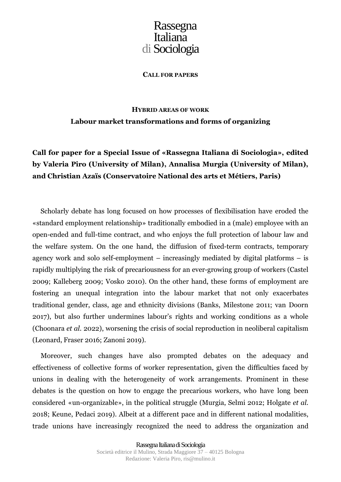**CALL FOR PAPERS**

### **HYBRID AREAS OF WORK Labour market transformations and forms of organizing**

**Call for paper for a Special Issue of «Rassegna Italiana di Sociologia», edited by Valeria Piro (University of Milan), Annalisa Murgia (University of Milan), and Christian Azaïs (Conservatoire National des arts et Métiers, Paris)**

Scholarly debate has long focused on how processes of flexibilisation have eroded the «standard employment relationship» traditionally embodied in a (male) employee with an open-ended and full-time contract, and who enjoys the full protection of labour law and the welfare system. On the one hand, the diffusion of fixed-term contracts, temporary agency work and solo self-employment – increasingly mediated by digital platforms – is rapidly multiplying the risk of precariousness for an ever-growing group of workers (Castel 2009; Kalleberg 2009; Vosko 2010). On the other hand, these forms of employment are fostering an unequal integration into the labour market that not only exacerbates traditional gender, class, age and ethnicity divisions (Banks, Milestone 2011; van Doorn 2017), but also further undermines labour's rights and working conditions as a whole (Choonara *et al.* 2022), worsening the crisis of social reproduction in neoliberal capitalism (Leonard, Fraser 2016; Zanoni 2019).

Moreover, such changes have also prompted debates on the adequacy and effectiveness of collective forms of worker representation, given the difficulties faced by unions in dealing with the heterogeneity of work arrangements. Prominent in these debates is the question on how to engage the precarious workers, who have long been considered «un-organizable», in the political struggle (Murgia, Selmi 2012; Holgate *et al.* 2018; Keune, Pedaci 2019). Albeit at a different pace and in different national modalities, trade unions have increasingly recognized the need to address the organization and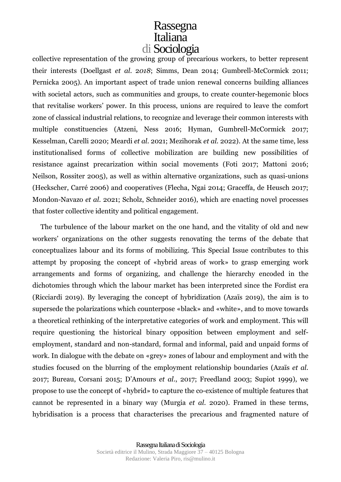collective representation of the growing group of precarious workers, to better represent their interests (Doellgast *et al.* 2*018*; Simms, Dean 2014; Gumbrell-McCormick 2011; Pernicka 2005). An important aspect of trade union renewal concerns building alliances with societal actors, such as communities and groups, to create counter-hegemonic blocs that revitalise workers' power. In this process, unions are required to leave the comfort zone of classical industrial relations, to recognize and leverage their common interests with multiple constituencies (Atzeni, Ness 2016; Hyman, Gumbrell-McCormick 2017; Kesselman, Carelli 2020; Meardi *et al.* 2021; Mezihorak *et al.* 2022). At the same time, less institutionalised forms of collective mobilization are building new possibilities of resistance against precarization within social movements (Foti 2017; Mattoni 2016; Neilson, Rossiter 2005), as well as within alternative organizations, such as quasi-unions (Heckscher, Carré 2006) and cooperatives (Flecha, Ngai 2014; Graceffa, de Heusch 2017; Mondon-Navazo *et al.* 2021; Scholz, Schneider 2016), which are enacting novel processes that foster collective identity and political engagement.

The turbulence of the labour market on the one hand, and the vitality of old and new workers' organizations on the other suggests renovating the terms of the debate that conceptualizes labour and its forms of mobilizing. This Special Issue contributes to this attempt by proposing the concept of «hybrid areas of work» to grasp emerging work arrangements and forms of organizing, and challenge the hierarchy encoded in the dichotomies through which the labour market has been interpreted since the Fordist era (Ricciardi 2019). By leveraging the concept of hybridization (Azaïs 2019), the aim is to supersede the polarizations which counterpose «black» and «white», and to move towards a theoretical rethinking of the interpretative categories of work and employment. This will require questioning the historical binary opposition between employment and selfemployment, standard and non-standard, formal and informal, paid and unpaid forms of work. In dialogue with the debate on «grey» zones of labour and employment and with the studies focused on the blurring of the employment relationship boundaries (Azaïs *et al.* 2017; Bureau, Corsani 2015; D'Amours *et al*., 2017; Freedland 2003; Supiot 1999), we propose to use the concept of «hybrid» to capture the co-existence of multiple features that cannot be represented in a binary way (Murgia *et al.* 2020). Framed in these terms, hybridisation is a process that characterises the precarious and fragmented nature of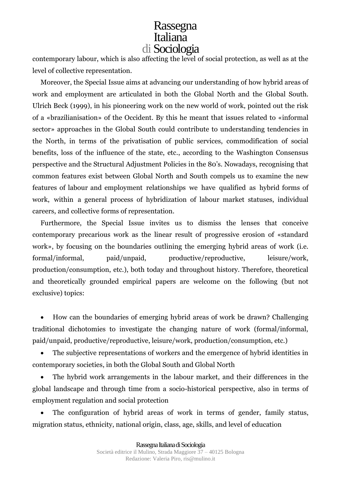contemporary labour, which is also affecting the level of social protection, as well as at the level of collective representation.

Moreover, the Special Issue aims at advancing our understanding of how hybrid areas of work and employment are articulated in both the Global North and the Global South. Ulrich Beck (1999), in his pioneering work on the new world of work, pointed out the risk of a «brazilianisation» of the Occident. By this he meant that issues related to «informal sector» approaches in the Global South could contribute to understanding tendencies in the North, in terms of the privatisation of public services, commodification of social benefits, loss of the influence of the state, etc., according to the Washington Consensus perspective and the Structural Adjustment Policies in the 80's. Nowadays, recognising that common features exist between Global North and South compels us to examine the new features of labour and employment relationships we have qualified as hybrid forms of work, within a general process of hybridization of labour market statuses, individual careers, and collective forms of representation.

Furthermore, the Special Issue invites us to dismiss the lenses that conceive contemporary precarious work as the linear result of progressive erosion of «standard work», by focusing on the boundaries outlining the emerging hybrid areas of work (i.e. formal/informal, paid/unpaid, productive/reproductive, leisure/work, production/consumption, etc.), both today and throughout history. Therefore, theoretical and theoretically grounded empirical papers are welcome on the following (but not exclusive) topics:

• How can the boundaries of emerging hybrid areas of work be drawn? Challenging traditional dichotomies to investigate the changing nature of work (formal/informal, paid/unpaid, productive/reproductive, leisure/work, production/consumption, etc.)

The subjective representations of workers and the emergence of hybrid identities in contemporary societies, in both the Global South and Global North

The hybrid work arrangements in the labour market, and their differences in the global landscape and through time from a socio-historical perspective, also in terms of employment regulation and social protection

The configuration of hybrid areas of work in terms of gender, family status, migration status, ethnicity, national origin, class, age, skills, and level of education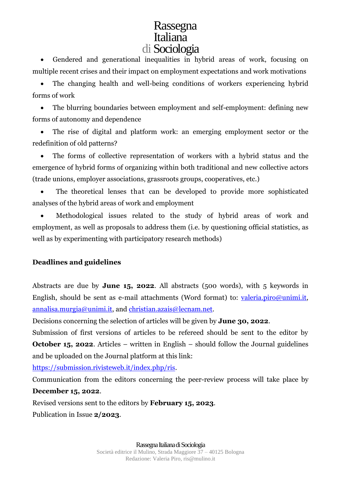• Gendered and generational inequalities in hybrid areas of work, focusing on multiple recent crises and their impact on employment expectations and work motivations

• The changing health and well-being conditions of workers experiencing hybrid forms of work

• The blurring boundaries between employment and self-employment: defining new forms of autonomy and dependence

The rise of digital and platform work: an emerging employment sector or the redefinition of old patterns?

The forms of collective representation of workers with a hybrid status and the emergence of hybrid forms of organizing within both traditional and new collective actors (trade unions, employer associations, grassroots groups, cooperatives, etc.)

The theoretical lenses that can be developed to provide more sophisticated analyses of the hybrid areas of work and employment

• Methodological issues related to the study of hybrid areas of work and employment, as well as proposals to address them (i.e. by questioning official statistics, as well as by experimenting with participatory research methods)

#### **Deadlines and guidelines**

Abstracts are due by **June 15, 2022**. All abstracts (500 words), with 5 keywords in English, should be sent as e-mail attachments (Word format) to: [valeria.piro@unimi.it,](mailto:valeria.piro@unimi.it) [annalisa.murgia@unimi.it,](mailto:annalisa.murgia@unimi.it) and [christian.azais@lecnam.net.](mailto:christian.azais@lecnam.net)

Decisions concerning the selection of articles will be given by **June 30, 2022**.

Submission of first versions of articles to be refereed should be sent to the editor by **October 15, 2022.** Articles – written in English – should follow the Journal guidelines and be uploaded on the Journal platform at this link:

[https://submission.rivisteweb.it/index.php/ris.](https://submission.rivisteweb.it/index.php/ris)

Communication from the editors concerning the peer-review process will take place by **December 15, 2022**.

Revised versions sent to the editors by **February 15, 2023**.

Publication in Issue **2/2023**.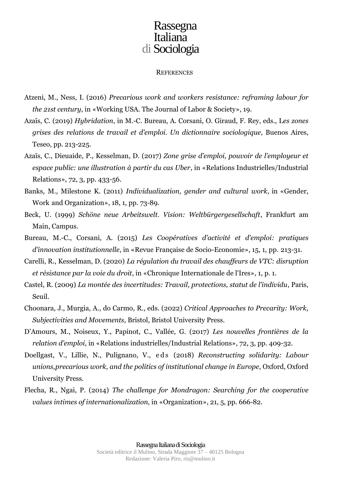#### **REFERENCES**

- Atzeni, M., Ness, I. (2016) *Precarious work and workers resistance: reframing labour for the 21st century*, in «Working USA. The Journal of Labor & Society», 19.
- Azaïs, C. (2019) *Hybridation*, in M.-C. Bureau, A. Corsani, O. Giraud, F. Rey, eds., L*es zones grises des relations de travail et d'emploi. Un dictionnaire sociologique*, Buenos Aires, Teseo, pp. 213-225.
- Azaïs, C., Dieuaide, P., Kesselman, D. (2017) *Zone grise d'emploi, pouvoir de l'employeur et espace public: une illustration à partir du cas Uber*, in «Relations Industrielles/Industrial Relations», 72, 3, pp. 433-56.
- Banks, M., Milestone K. (2011) *Individualization, gender and cultural work*, in «Gender, Work and Organization», 18, 1, pp. 73-89.
- Beck, U. (1999) *Schöne neue Arbeitswelt. Vision: Weltbürgergesellschaft*, Frankfurt am Main, Campus.
- Bureau, M.-C., Corsani, A. (2015) *Les Coopératives d'activité et d'emploi: pratiques d'innovation institutionnelle*, in «Revue Française de Socio-Economie», 15, 1, pp. 213-31.
- Carelli, R., Kesselman, D. (2020) *La régulation du travail des chauffeurs de VTC: disruption et résistance par la voie du droit*, in «Chronique Internationale de l'Ires», 1, p. 1.
- Castel, R. (2009) *La montée des incertitudes: Travail, protections, statut de l'individu*, Paris, Seuil.
- Choonara, J., Murgia, A., do Carmo, R., eds. (2022) *Critical Approaches to Precarity: Work, Subjectivities and Movements*, Bristol, Bristol University Press.
- D'Amours, M., Noiseux, Y., Papinot, C., Vallée, G. (2017) *Les nouvelles frontières de la relation d'emploi*, in «Relations industrielles/Industrial Relations», 72, 3, pp. 409-32.
- Doellgast, V., Lillie, N., Pulignano, V., e d s (2018) *Reconstructing solidarity: Labour unions,precarious work, and the politics of institutional change in Europe*, Oxford, Oxford University Press.
- Flecha, R., Ngai, P. (2014) *The challenge for Mondragon: Searching for the cooperative values intimes of internationalization*, in «Organization», 21, 5, pp. 666-82.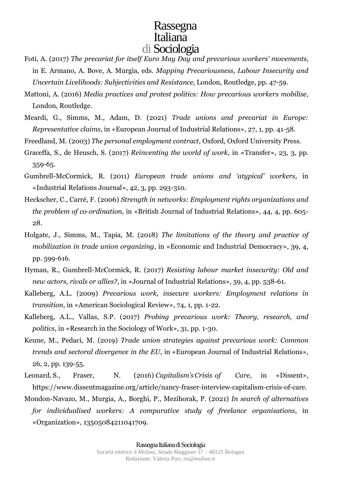- Foti, A. (2017) *The precariat for itself Euro May Day and precarious workers' movements*, in E. Armano, A. Bove, A. Murgia, eds. *Mapping Precariousness, Labour Insecurity and Uncertain Livelihoods: Subjectivities and Resistance*, London, Routledge, pp. 47-59.
- Mattoni, A. (2016) *Media practices and protest politics: How precarious workers mobilise*, London, Routledge*.*
- Meardi, G., Simms, M., Adam, D. (2021) *Trade unions and precariat in Europe: Representative claims*, in «European Journal of Industrial Relations», 27, 1, pp. 41-58.
- Freedland, M. (2003) *The personal employment contract*, Oxford, Oxford University Press.
- Graceffa, S., de Heusch, S. (2017) *Reinventing the world of work*, in «Transfer», 23, 3, pp. 359-65.
- Gumbrell-McCormick, R. (2011) *European trade unions and 'atypical' workers*, in «Industrial Relations Journal», 42, 3, pp. 293-310.
- Heckscher, C., Carré, F. (2006) *Strength in networks: Employment rights organizations and the problem of co--‐ordination*, in «British Journal of Industrial Relations», 44, 4, pp. 605- 28.
- Holgate, J., Simms, M., Tapia, M. (2018) *The limitations of the theory and practice of mobilization in trade union organizing*, in «Economic and Industrial Democracy», 39, 4, pp. 599-616.
- Hyman, R., Gumbrell-McCormick, R. (2017) *Resisting labour market insecurity: Old and new actors, rivals or allies?*, in «Journal of Industrial Relations», 59, 4, pp. 538-61.
- Kalleberg, A.L. (2009) *Precarious work, insecure workers: Employment relations in transition*, in «American Sociological Review», 74, 1, pp. 1-22.
- Kalleberg, A.L., Vallas, S.P. (2017) *Probing precarious work: Theory, research, and politics*, in «Research in the Sociology of Work», 31, pp. 1-30.
- Keune, M., Pedaci, M. (2019) *Trade union strategies against precarious work: Common trends and sectoral divergence in the EU*, in «European Journal of Industrial Relations», 26, 2, pp. 139-55.
- Leonard, S., Fraser, N. (2016) *Capitalism'sCrisis of Care*, in «Dissent», https://www.dissentmagazine.org/article/nancy-fraser-interview-capitalism-crisis-of-care.
- Mondon-Navazo, M., Murgia, A., Borghi, P., Mezihorak, P. (2021) *In search of alternatives for individualised workers: A comparative study of freelance organisations*, in «Organization», 13505084211041709.